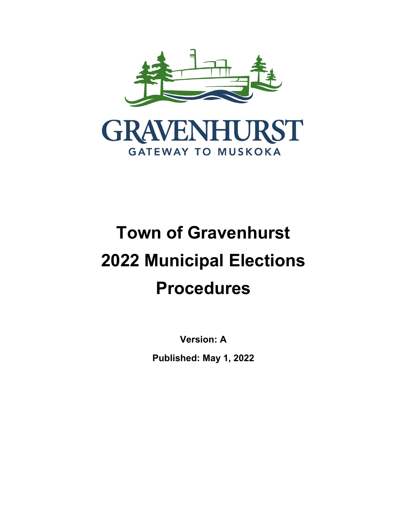

# **Town of Gravenhurst 2022 Municipal Elections Procedures**

**Version: A Published: May 1, 2022**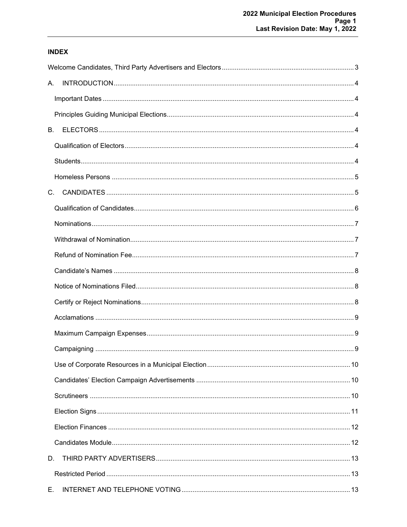## **INDEX**

| А.        |  |
|-----------|--|
|           |  |
|           |  |
| <b>B.</b> |  |
|           |  |
|           |  |
|           |  |
| $C_{1}$   |  |
|           |  |
|           |  |
|           |  |
|           |  |
|           |  |
|           |  |
|           |  |
|           |  |
|           |  |
|           |  |
|           |  |
|           |  |
|           |  |
|           |  |
|           |  |
|           |  |
| D.        |  |
|           |  |
| Е.        |  |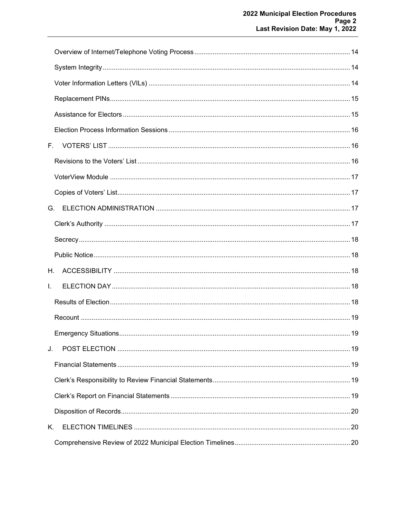| F. . |  |
|------|--|
|      |  |
|      |  |
|      |  |
| G.   |  |
|      |  |
|      |  |
|      |  |
| Н.   |  |
| L.   |  |
|      |  |
|      |  |
|      |  |
| J.   |  |
|      |  |
|      |  |
|      |  |
|      |  |
| Κ.   |  |
|      |  |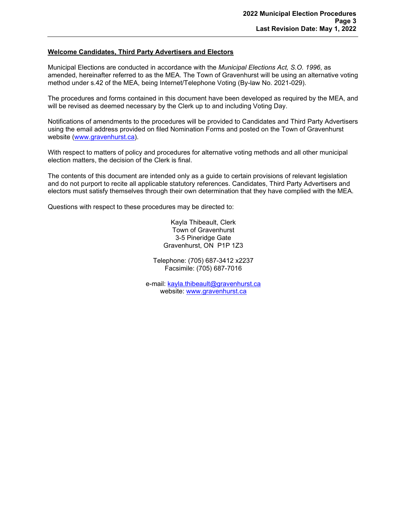## <span id="page-3-0"></span>**Welcome Candidates, Third Party Advertisers and Electors**

Municipal Elections are conducted in accordance with the *Municipal Elections Act, S.O. 1996*, as amended, hereinafter referred to as the MEA. The Town of Gravenhurst will be using an alternative voting method under s.42 of the MEA, being Internet/Telephone Voting (By-law No. 2021-029).

The procedures and forms contained in this document have been developed as required by the MEA, and will be revised as deemed necessary by the Clerk up to and including Voting Day.

Notifications of amendments to the procedures will be provided to Candidates and Third Party Advertisers using the email address provided on filed Nomination Forms and posted on the Town of Gravenhurst website [\(www.gravenhurst.ca\)](http://www.gravenhurst.ca/).

With respect to matters of policy and procedures for alternative voting methods and all other municipal election matters, the decision of the Clerk is final.

The contents of this document are intended only as a guide to certain provisions of relevant legislation and do not purport to recite all applicable statutory references. Candidates, Third Party Advertisers and electors must satisfy themselves through their own determination that they have complied with the MEA.

Questions with respect to these procedures may be directed to:

Kayla Thibeault, Clerk Town of Gravenhurst 3-5 Pineridge Gate Gravenhurst, ON P1P 1Z3

Telephone: (705) 687-3412 x2237 Facsimile: (705) 687-7016

e-mail: [kayla.thibeault@gravenhurst.ca](mailto:kayla.thibeault@gravenhurst.ca) website: [www.gravenhurst.ca](http://www.gravenhurst.ca/)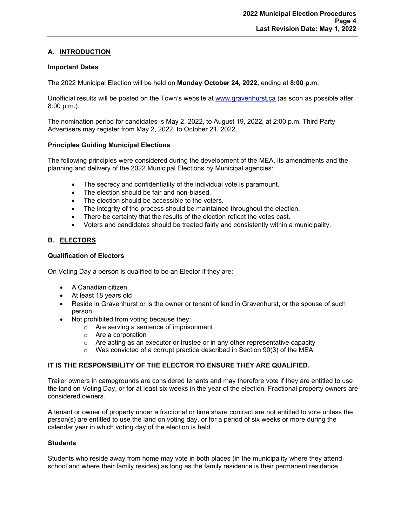## <span id="page-4-0"></span>**A. INTRODUCTION**

#### <span id="page-4-1"></span>**Important Dates**

The 2022 Municipal Election will be held on **Monday October 24, 2022,** ending at **8:00 p.m**.

Unofficial results will be posted on the Town's website at [www.gravenhurst.ca](http://www.gravenhurst.ca/) (as soon as possible after 8:00 p.m.).

The nomination period for candidates is May 2, 2022, to August 19, 2022, at 2:00 p.m. Third Party Advertisers may register from May 2, 2022, to October 21, 2022.

## <span id="page-4-2"></span>**Principles Guiding Municipal Elections**

The following principles were considered during the development of the MEA, its amendments and the planning and delivery of the 2022 Municipal Elections by Municipal agencies:

- The secrecy and confidentiality of the individual vote is paramount.
- The election should be fair and non-biased.
- The election should be accessible to the voters.
- The integrity of the process should be maintained throughout the election.
- There be certainty that the results of the election reflect the votes cast.
- Voters and candidates should be treated fairly and consistently within a municipality.

## <span id="page-4-3"></span>**B. ELECTORS**

## <span id="page-4-4"></span>**Qualification of Electors**

On Voting Day a person is qualified to be an Elector if they are:

- A Canadian citizen
- At least 18 years old
- Reside in Gravenhurst or is the owner or tenant of land in Gravenhurst, or the spouse of such person
- Not prohibited from voting because they:
	- o Are serving a sentence of imprisonment
	- o Are a corporation
	- $\circ$  Are acting as an executor or trustee or in any other representative capacity
	- o Was convicted of a corrupt practice described in Section 90(3) of the MEA

## **IT IS THE RESPONSIBILITY OF THE ELECTOR TO ENSURE THEY ARE QUALIFIED.**

Trailer owners in campgrounds are considered tenants and may therefore vote if they are entitled to use the land on Voting Day, or for at least six weeks in the year of the election. Fractional property owners are considered owners.

A tenant or owner of property under a fractional or time share contract are not entitled to vote unless the person(s) are entitled to use the land on voting day, or for a period of six weeks or more during the calendar year in which voting day of the election is held.

#### <span id="page-4-5"></span>**Students**

Students who reside away from home may vote in both places (in the municipality where they attend school and where their family resides) as long as the family residence is their permanent residence.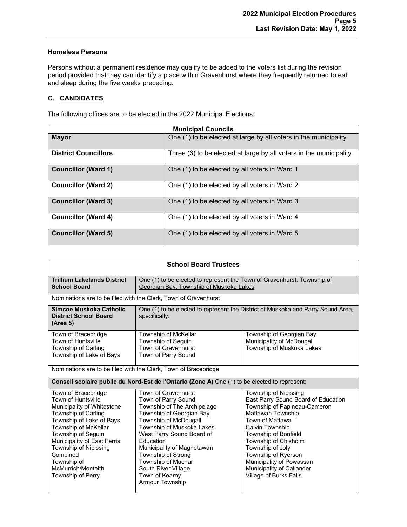## <span id="page-5-0"></span>**Homeless Persons**

Persons without a permanent residence may qualify to be added to the voters list during the revision period provided that they can identify a place within Gravenhurst where they frequently returned to eat and sleep during the five weeks preceding.

## <span id="page-5-1"></span>**C. CANDIDATES**

The following offices are to be elected in the 2022 Municipal Elections:

| <b>Municipal Councils</b>   |                                                                    |
|-----------------------------|--------------------------------------------------------------------|
| <b>Mayor</b>                | One (1) to be elected at large by all voters in the municipality   |
| <b>District Councillors</b> | Three (3) to be elected at large by all voters in the municipality |
| <b>Councillor (Ward 1)</b>  | One (1) to be elected by all voters in Ward 1                      |
| <b>Councillor (Ward 2)</b>  | One (1) to be elected by all voters in Ward 2                      |
| <b>Councillor (Ward 3)</b>  | One (1) to be elected by all voters in Ward 3                      |
| <b>Councillor (Ward 4)</b>  | One (1) to be elected by all voters in Ward 4                      |
| <b>Councillor (Ward 5)</b>  | One (1) to be elected by all voters in Ward 5                      |

| <b>School Board Trustees</b>                                                                                                                                                                                                                                                                           |                                                                                                                                                                                                                                                                                                                                                    |                                                                                                                                                                                                                                                                                                                                              |
|--------------------------------------------------------------------------------------------------------------------------------------------------------------------------------------------------------------------------------------------------------------------------------------------------------|----------------------------------------------------------------------------------------------------------------------------------------------------------------------------------------------------------------------------------------------------------------------------------------------------------------------------------------------------|----------------------------------------------------------------------------------------------------------------------------------------------------------------------------------------------------------------------------------------------------------------------------------------------------------------------------------------------|
| <b>Trillium Lakelands District</b><br><b>School Board</b>                                                                                                                                                                                                                                              | One (1) to be elected to represent the Town of Gravenhurst, Township of<br>Georgian Bay, Township of Muskoka Lakes                                                                                                                                                                                                                                 |                                                                                                                                                                                                                                                                                                                                              |
|                                                                                                                                                                                                                                                                                                        | Nominations are to be filed with the Clerk, Town of Gravenhurst                                                                                                                                                                                                                                                                                    |                                                                                                                                                                                                                                                                                                                                              |
| Simcoe Muskoka Catholic<br><b>District School Board</b><br>(Area 5)                                                                                                                                                                                                                                    | specifically:                                                                                                                                                                                                                                                                                                                                      | One (1) to be elected to represent the District of Muskoka and Parry Sound Area,                                                                                                                                                                                                                                                             |
| Town of Bracebridge<br>Town of Huntsville<br>Township of Carling<br>Township of Lake of Bays                                                                                                                                                                                                           | Township of McKellar<br>Township of Seguin<br>Town of Gravenhurst<br>Town of Parry Sound                                                                                                                                                                                                                                                           | Township of Georgian Bay<br>Municipality of McDougall<br>Township of Muskoka Lakes                                                                                                                                                                                                                                                           |
|                                                                                                                                                                                                                                                                                                        | Nominations are to be filed with the Clerk, Town of Bracebridge                                                                                                                                                                                                                                                                                    |                                                                                                                                                                                                                                                                                                                                              |
|                                                                                                                                                                                                                                                                                                        | Conseil scolaire public du Nord-Est de l'Ontario (Zone A) One (1) to be elected to represent:                                                                                                                                                                                                                                                      |                                                                                                                                                                                                                                                                                                                                              |
| Town of Bracebridge<br>Town of Huntsville<br>Municipality of Whitestone<br>Township of Carling<br>Township of Lake of Bays<br>Township of McKellar<br>Township of Seguin<br>Municipality of East Ferris<br>Township of Nipissing<br>Combined<br>Township of<br>McMurrich/Monteith<br>Township of Perry | Town of Gravenhurst<br>Town of Parry Sound<br>Township of The Archipelago<br>Township of Georgian Bay<br>Township of McDougall<br>Township of Muskoka Lakes<br>West Parry Sound Board of<br>Education<br>Municipality of Magnetawan<br>Township of Strong<br>Township of Machar<br>South River Village<br>Town of Kearny<br><b>Armour Township</b> | Township of Nipissing<br>East Parry Sound Board of Education<br>Township of Papineau-Cameron<br>Mattawan Township<br>Town of Mattawa<br><b>Calvin Township</b><br>Township of Bonfield<br>Township of Chisholm<br>Township of Joly<br>Township of Ryerson<br>Municipality of Powassan<br>Municipality of Callander<br>Village of Burks Falls |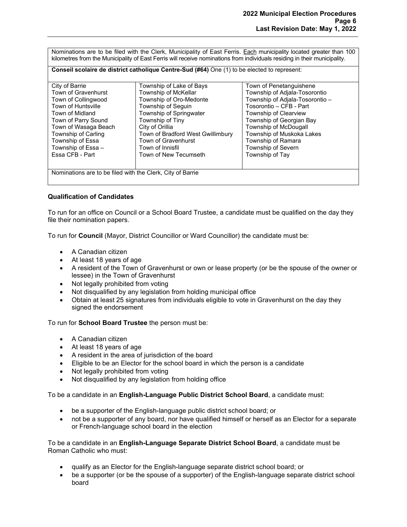Nominations are to be filed with the Clerk, Municipality of East Ferris. Each municipality located greater than 100 kilometres from the Municipality of East Ferris will receive nominations from individuals residing in their municipality.

**Conseil scolaire de district catholique Centre-Sud (#64)** One (1) to be elected to represent:

| City of Barrie                                             | Township of Lake of Bays          | Town of Penetanguishene         |
|------------------------------------------------------------|-----------------------------------|---------------------------------|
| Town of Gravenhurst                                        | Township of McKellar              | Township of Adjala-Tosorontio   |
| Town of Collingwood                                        | Township of Oro-Medonte           | Township of Adjala-Tosorontio – |
| <b>Town of Huntsville</b>                                  | Township of Seguin                | Tosorontio - CFB - Part         |
| Town of Midland                                            | Township of Springwater           | Township of Clearview           |
| Town of Parry Sound                                        | Township of Tiny                  | Township of Georgian Bay        |
| Town of Wasaga Beach                                       | City of Orillia                   | Township of McDougall           |
| Township of Carling                                        | Town of Bradford West Gwillimbury | Township of Muskoka Lakes       |
| Township of Essa                                           | Town of Gravenhurst               | Township of Ramara              |
| Township of Essa -                                         | Town of Innisfil                  | Township of Severn              |
| Essa CFB - Part                                            | Town of New Tecumseth             | Township of Tay                 |
|                                                            |                                   |                                 |
| Nominations are to be filed with the Clerk, City of Barrie |                                   |                                 |

#### <span id="page-6-0"></span>**Qualification of Candidates**

To run for an office on Council or a School Board Trustee, a candidate must be qualified on the day they file their nomination papers.

To run for **Council** (Mayor, District Councillor or Ward Councillor) the candidate must be:

- A Canadian citizen
- At least 18 years of age
- A resident of the Town of Gravenhurst or own or lease property (or be the spouse of the owner or lessee) in the Town of Gravenhurst
- Not legally prohibited from voting
- Not disqualified by any legislation from holding municipal office
- Obtain at least 25 signatures from individuals eligible to vote in Gravenhurst on the day they signed the endorsement

To run for **School Board Trustee** the person must be:

- A Canadian citizen
- At least 18 years of age
- A resident in the area of jurisdiction of the board
- Eligible to be an Elector for the school board in which the person is a candidate
- Not legally prohibited from voting
- Not disqualified by any legislation from holding office

To be a candidate in an **English-Language Public District School Board**, a candidate must:

- be a supporter of the English-language public district school board; or
- not be a supporter of any board, nor have qualified himself or herself as an Elector for a separate or French-language school board in the election

To be a candidate in an **English-Language Separate District School Board**, a candidate must be Roman Catholic who must:

- qualify as an Elector for the English-language separate district school board; or
- be a supporter (or be the spouse of a supporter) of the English-language separate district school board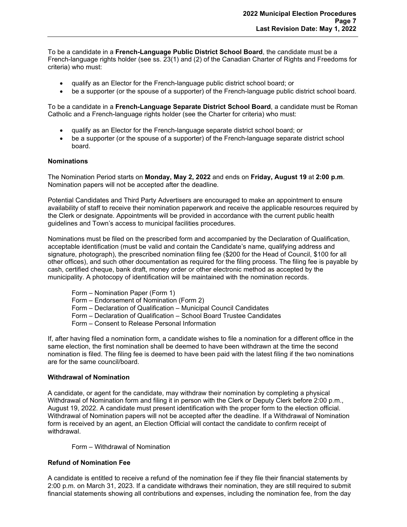To be a candidate in a **French-Language Public District School Board**, the candidate must be a French-language rights holder (see ss. 23(1) and (2) of the Canadian Charter of Rights and Freedoms for criteria) who must:

- qualify as an Elector for the French-language public district school board; or
- be a supporter (or the spouse of a supporter) of the French-language public district school board.

To be a candidate in a **French-Language Separate District School Board**, a candidate must be Roman Catholic and a French-language rights holder (see the Charter for criteria) who must:

- qualify as an Elector for the French-language separate district school board; or
- be a supporter (or the spouse of a supporter) of the French-language separate district school board.

## <span id="page-7-0"></span>**Nominations**

The Nomination Period starts on **Monday, May 2, 2022** and ends on **Friday, August 19** at **2:00 p.m**. Nomination papers will not be accepted after the deadline.

Potential Candidates and Third Party Advertisers are encouraged to make an appointment to ensure availability of staff to receive their nomination paperwork and receive the applicable resources required by the Clerk or designate. Appointments will be provided in accordance with the current public health guidelines and Town's access to municipal facilities procedures.

Nominations must be filed on the prescribed form and accompanied by the Declaration of Qualification, acceptable identification (must be valid and contain the Candidate's name, qualifying address and signature, photograph), the prescribed nomination filing fee (\$200 for the Head of Council, \$100 for all other offices), and such other documentation as required for the filing process. The filing fee is payable by cash, certified cheque, bank draft, money order or other electronic method as accepted by the municipality. A photocopy of identification will be maintained with the nomination records.

- Form Nomination Paper (Form 1)
- Form Endorsement of Nomination (Form 2)
- Form Declaration of Qualification Municipal Council Candidates
- Form Declaration of Qualification School Board Trustee Candidates
- Form Consent to Release Personal Information

If, after having filed a nomination form, a candidate wishes to file a nomination for a different office in the same election, the first nomination shall be deemed to have been withdrawn at the time the second nomination is filed. The filing fee is deemed to have been paid with the latest filing if the two nominations are for the same council/board.

#### <span id="page-7-1"></span>**Withdrawal of Nomination**

A candidate, or agent for the candidate, may withdraw their nomination by completing a physical Withdrawal of Nomination form and filing it in person with the Clerk or Deputy Clerk before 2:00 p.m., August 19, 2022. A candidate must present identification with the proper form to the election official. Withdrawal of Nomination papers will not be accepted after the deadline. If a Withdrawal of Nomination form is received by an agent, an Election Official will contact the candidate to confirm receipt of withdrawal.

Form – Withdrawal of Nomination

#### <span id="page-7-2"></span>**Refund of Nomination Fee**

A candidate is entitled to receive a refund of the nomination fee if they file their financial statements by 2:00 p.m. on March 31, 2023. If a candidate withdraws their nomination, they are still required to submit financial statements showing all contributions and expenses, including the nomination fee, from the day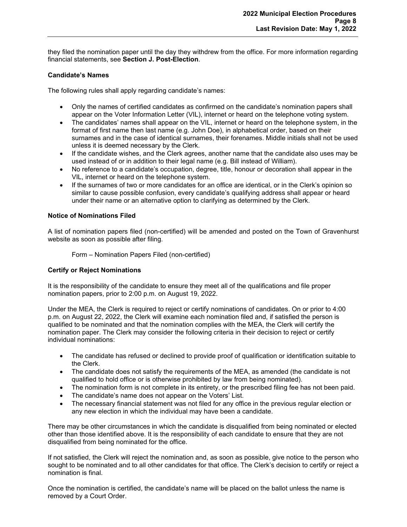they filed the nomination paper until the day they withdrew from the office. For more information regarding financial statements, see **Section J. Post-Election**.

## <span id="page-8-0"></span>**Candidate's Names**

The following rules shall apply regarding candidate's names:

- Only the names of certified candidates as confirmed on the candidate's nomination papers shall appear on the Voter Information Letter (VIL), internet or heard on the telephone voting system.
- The candidates' names shall appear on the VIL, internet or heard on the telephone system, in the format of first name then last name (e.g. John Doe), in alphabetical order, based on their surnames and in the case of identical surnames, their forenames. Middle initials shall not be used unless it is deemed necessary by the Clerk.
- If the candidate wishes, and the Clerk agrees, another name that the candidate also uses may be used instead of or in addition to their legal name (e.g. Bill instead of William).
- No reference to a candidate's occupation, degree, title, honour or decoration shall appear in the VIL, internet or heard on the telephone system.
- If the surnames of two or more candidates for an office are identical, or in the Clerk's opinion so similar to cause possible confusion, every candidate's qualifying address shall appear or heard under their name or an alternative option to clarifying as determined by the Clerk.

## <span id="page-8-1"></span>**Notice of Nominations Filed**

A list of nomination papers filed (non-certified) will be amended and posted on the Town of Gravenhurst website as soon as possible after filing.

Form – Nomination Papers Filed (non-certified)

#### <span id="page-8-2"></span>**Certify or Reject Nominations**

It is the responsibility of the candidate to ensure they meet all of the qualifications and file proper nomination papers, prior to 2:00 p.m. on August 19, 2022.

Under the MEA, the Clerk is required to reject or certify nominations of candidates. On or prior to 4:00 p.m. on August 22, 2022, the Clerk will examine each nomination filed and, if satisfied the person is qualified to be nominated and that the nomination complies with the MEA, the Clerk will certify the nomination paper. The Clerk may consider the following criteria in their decision to reject or certify individual nominations:

- The candidate has refused or declined to provide proof of qualification or identification suitable to the Clerk.
- The candidate does not satisfy the requirements of the MEA, as amended (the candidate is not qualified to hold office or is otherwise prohibited by law from being nominated).
- The nomination form is not complete in its entirety, or the prescribed filing fee has not been paid.
- The candidate's name does not appear on the Voters' List.
- The necessary financial statement was not filed for any office in the previous regular election or any new election in which the individual may have been a candidate.

There may be other circumstances in which the candidate is disqualified from being nominated or elected other than those identified above. It is the responsibility of each candidate to ensure that they are not disqualified from being nominated for the office.

If not satisfied, the Clerk will reject the nomination and, as soon as possible, give notice to the person who sought to be nominated and to all other candidates for that office. The Clerk's decision to certify or reject a nomination is final.

Once the nomination is certified, the candidate's name will be placed on the ballot unless the name is removed by a Court Order.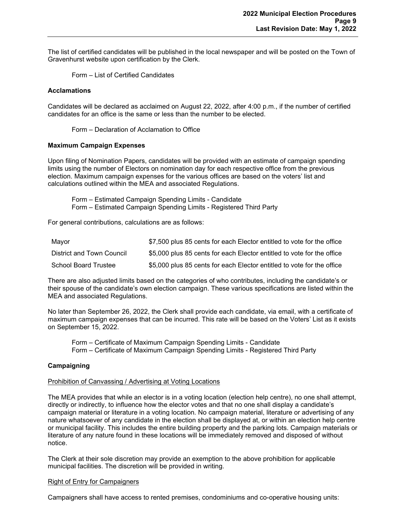The list of certified candidates will be published in the local newspaper and will be posted on the Town of Gravenhurst website upon certification by the Clerk.

Form – List of Certified Candidates

#### <span id="page-9-0"></span>**Acclamations**

Candidates will be declared as acclaimed on August 22, 2022, after 4:00 p.m., if the number of certified candidates for an office is the same or less than the number to be elected.

Form – Declaration of Acclamation to Office

#### <span id="page-9-1"></span>**Maximum Campaign Expenses**

Upon filing of Nomination Papers, candidates will be provided with an estimate of campaign spending limits using the number of Electors on nomination day for each respective office from the previous election. Maximum campaign expenses for the various offices are based on the voters' list and calculations outlined within the MEA and associated Regulations.

Form – Estimated Campaign Spending Limits - Candidate Form – Estimated Campaign Spending Limits - Registered Third Party

For general contributions, calculations are as follows:

| Mayor                       | \$7,500 plus 85 cents for each Elector entitled to vote for the office |
|-----------------------------|------------------------------------------------------------------------|
| District and Town Council   | \$5,000 plus 85 cents for each Elector entitled to vote for the office |
| <b>School Board Trustee</b> | \$5,000 plus 85 cents for each Elector entitled to vote for the office |

There are also adjusted limits based on the categories of who contributes, including the candidate's or their spouse of the candidate's own election campaign. These various specifications are listed within the MEA and associated Regulations.

No later than September 26, 2022, the Clerk shall provide each candidate, via email, with a certificate of maximum campaign expenses that can be incurred. This rate will be based on the Voters' List as it exists on September 15, 2022.

Form – Certificate of Maximum Campaign Spending Limits - Candidate Form – Certificate of Maximum Campaign Spending Limits - Registered Third Party

#### <span id="page-9-2"></span>**Campaigning**

#### Prohibition of Canvassing / Advertising at Voting Locations

The MEA provides that while an elector is in a voting location (election help centre), no one shall attempt, directly or indirectly, to influence how the elector votes and that no one shall display a candidate's campaign material or literature in a voting location. No campaign material, literature or advertising of any nature whatsoever of any candidate in the election shall be displayed at, or within an election help centre or municipal facility. This includes the entire building property and the parking lots. Campaign materials or literature of any nature found in these locations will be immediately removed and disposed of without notice.

The Clerk at their sole discretion may provide an exemption to the above prohibition for applicable municipal facilities. The discretion will be provided in writing.

#### Right of Entry for Campaigners

Campaigners shall have access to rented premises, condominiums and co-operative housing units: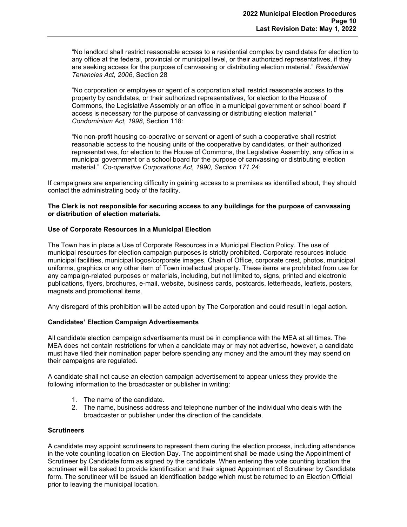"No landlord shall restrict reasonable access to a residential complex by candidates for election to any office at the federal, provincial or municipal level, or their authorized representatives, if they are seeking access for the purpose of canvassing or distributing election material." *Residential Tenancies Act, 2006*, Section 28

"No corporation or employee or agent of a corporation shall restrict reasonable access to the property by candidates, or their authorized representatives, for election to the House of Commons, the Legislative Assembly or an office in a municipal government or school board if access is necessary for the purpose of canvassing or distributing election material." *Condominium Act, 1998*, Section 118:

"No non-profit housing co-operative or servant or agent of such a cooperative shall restrict reasonable access to the housing units of the cooperative by candidates, or their authorized representatives, for election to the House of Commons, the Legislative Assembly, any office in a municipal government or a school board for the purpose of canvassing or distributing election material." *Co-operative Corporations Act, 1990, Section 171.24:*

If campaigners are experiencing difficulty in gaining access to a premises as identified about, they should contact the administrating body of the facility.

#### **The Clerk is not responsible for securing access to any buildings for the purpose of canvassing or distribution of election materials.**

## <span id="page-10-0"></span>**Use of Corporate Resources in a Municipal Election**

The Town has in place a Use of Corporate Resources in a Municipal Election Policy. The use of municipal resources for election campaign purposes is strictly prohibited. Corporate resources include municipal facilities, municipal logos/corporate images, Chain of Office, corporate crest, photos, municipal uniforms, graphics or any other item of Town intellectual property. These items are prohibited from use for any campaign-related purposes or materials, including, but not limited to, signs, printed and electronic publications, flyers, brochures, e-mail, website, business cards, postcards, letterheads, leaflets, posters, magnets and promotional items.

Any disregard of this prohibition will be acted upon by The Corporation and could result in legal action.

#### <span id="page-10-1"></span>**Candidates' Election Campaign Advertisements**

All candidate election campaign advertisements must be in compliance with the MEA at all times. The MEA does not contain restrictions for when a candidate may or may not advertise, however, a candidate must have filed their nomination paper before spending any money and the amount they may spend on their campaigns are regulated.

A candidate shall not cause an election campaign advertisement to appear unless they provide the following information to the broadcaster or publisher in writing:

- 1. The name of the candidate.
- 2. The name, business address and telephone number of the individual who deals with the broadcaster or publisher under the direction of the candidate.

#### <span id="page-10-2"></span>**Scrutineers**

A candidate may appoint scrutineers to represent them during the election process, including attendance in the vote counting location on Election Day. The appointment shall be made using the Appointment of Scrutineer by Candidate form as signed by the candidate. When entering the vote counting location the scrutineer will be asked to provide identification and their signed Appointment of Scrutineer by Candidate form. The scrutineer will be issued an identification badge which must be returned to an Election Official prior to leaving the municipal location.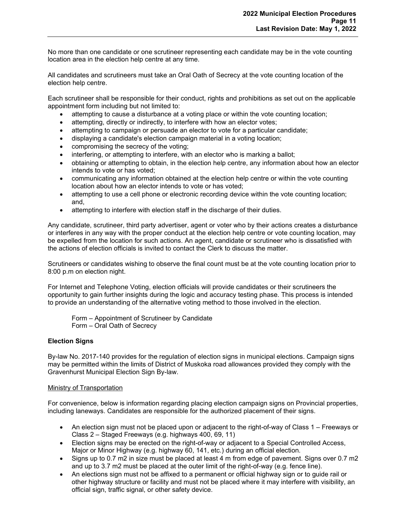No more than one candidate or one scrutineer representing each candidate may be in the vote counting location area in the election help centre at any time.

All candidates and scrutineers must take an Oral Oath of Secrecy at the vote counting location of the election help centre.

Each scrutineer shall be responsible for their conduct, rights and prohibitions as set out on the applicable appointment form including but not limited to:

- attempting to cause a disturbance at a voting place or within the vote counting location;
- attempting, directly or indirectly, to interfere with how an elector votes;
- attempting to campaign or persuade an elector to vote for a particular candidate;
- displaying a candidate's election campaign material in a voting location;
- compromising the secrecy of the voting;
- interfering, or attempting to interfere, with an elector who is marking a ballot;
- obtaining or attempting to obtain, in the election help centre, any information about how an elector intends to vote or has voted;
- communicating any information obtained at the election help centre or within the vote counting location about how an elector intends to vote or has voted;
- attempting to use a cell phone or electronic recording device within the vote counting location; and,
- attempting to interfere with election staff in the discharge of their duties.

Any candidate, scrutineer, third party advertiser, agent or voter who by their actions creates a disturbance or interferes in any way with the proper conduct at the election help centre or vote counting location, may be expelled from the location for such actions. An agent, candidate or scrutineer who is dissatisfied with the actions of election officials is invited to contact the Clerk to discuss the matter.

Scrutineers or candidates wishing to observe the final count must be at the vote counting location prior to 8:00 p.m on election night.

For Internet and Telephone Voting, election officials will provide candidates or their scrutineers the opportunity to gain further insights during the logic and accuracy testing phase. This process is intended to provide an understanding of the alternative voting method to those involved in the election.

Form – Appointment of Scrutineer by Candidate Form – Oral Oath of Secrecy

#### <span id="page-11-0"></span>**Election Signs**

By-law No. 2017-140 provides for the regulation of election signs in municipal elections. Campaign signs may be permitted within the limits of District of Muskoka road allowances provided they comply with the Gravenhurst Municipal Election Sign By-law.

#### Ministry of Transportation

For convenience, below is information regarding placing election campaign signs on Provincial properties, including laneways. Candidates are responsible for the authorized placement of their signs.

- An election sign must not be placed upon or adjacent to the right-of-way of Class 1 Freeways or Class 2 – Staged Freeways (e.g. highways 400, 69, 11)
- Election signs may be erected on the right-of-way or adjacent to a Special Controlled Access, Major or Minor Highway (e.g. highway 60, 141, etc.) during an official election.
- Signs up to 0.7 m2 in size must be placed at least 4 m from edge of pavement. Signs over 0.7 m2 and up to 3.7 m2 must be placed at the outer limit of the right-of-way (e.g. fence line).
- An elections sign must not be affixed to a permanent or official highway sign or to guide rail or other highway structure or facility and must not be placed where it may interfere with visibility, an official sign, traffic signal, or other safety device.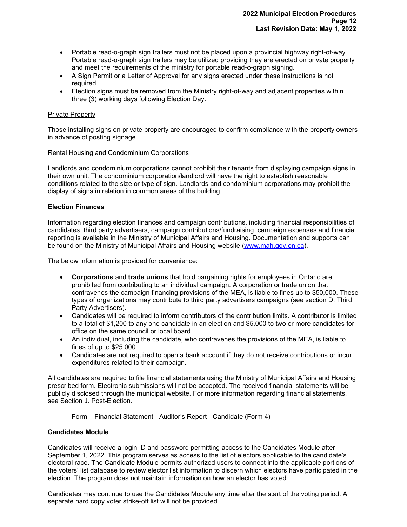- Portable read-o-graph sign trailers must not be placed upon a provincial highway right-of-way. Portable read-o-graph sign trailers may be utilized providing they are erected on private property and meet the requirements of the ministry for portable read-o-graph signing.
- A Sign Permit or a Letter of Approval for any signs erected under these instructions is not required.
- Election signs must be removed from the Ministry right-of-way and adjacent properties within three (3) working days following Election Day.

## Private Property

Those installing signs on private property are encouraged to confirm compliance with the property owners in advance of posting signage.

#### Rental Housing and Condominium Corporations

Landlords and condominium corporations cannot prohibit their tenants from displaying campaign signs in their own unit. The condominium corporation/landlord will have the right to establish reasonable conditions related to the size or type of sign. Landlords and condominium corporations may prohibit the display of signs in relation in common areas of the building.

## <span id="page-12-0"></span>**Election Finances**

Information regarding election finances and campaign contributions, including financial responsibilities of candidates, third party advertisers, campaign contributions/fundraising, campaign expenses and financial reporting is available in the Ministry of Municipal Affairs and Housing. Documentation and supports can be found on the Ministry of Municipal Affairs and Housing website [\(www.mah.gov.on.ca\)](http://www.mah.gov.on.ca/).

The below information is provided for convenience:

- **Corporations** and **trade unions** that hold bargaining rights for employees in Ontario are prohibited from contributing to an individual campaign. A corporation or trade union that contravenes the campaign financing provisions of the MEA, is liable to fines up to \$50,000. These types of organizations may contribute to third party advertisers campaigns (see section D. Third Party Advertisers).
- Candidates will be required to inform contributors of the contribution limits. A contributor is limited to a total of \$1,200 to any one candidate in an election and \$5,000 to two or more candidates for office on the same council or local board.
- An individual, including the candidate, who contravenes the provisions of the MEA, is liable to fines of up to \$25,000.
- Candidates are not required to open a bank account if they do not receive contributions or incur expenditures related to their campaign.

All candidates are required to file financial statements using the Ministry of Municipal Affairs and Housing prescribed form. Electronic submissions will not be accepted. The received financial statements will be publicly disclosed through the municipal website. For more information regarding financial statements, see Section J. Post-Election.

Form – Financial Statement - Auditor's Report - Candidate (Form 4)

#### <span id="page-12-1"></span>**Candidates Module**

Candidates will receive a login ID and password permitting access to the Candidates Module after September 1, 2022. This program serves as access to the list of electors applicable to the candidate's electoral race. The Candidate Module permits authorized users to connect into the applicable portions of the voters' list database to review elector list information to discern which electors have participated in the election. The program does not maintain information on how an elector has voted.

Candidates may continue to use the Candidates Module any time after the start of the voting period. A separate hard copy voter strike-off list will not be provided.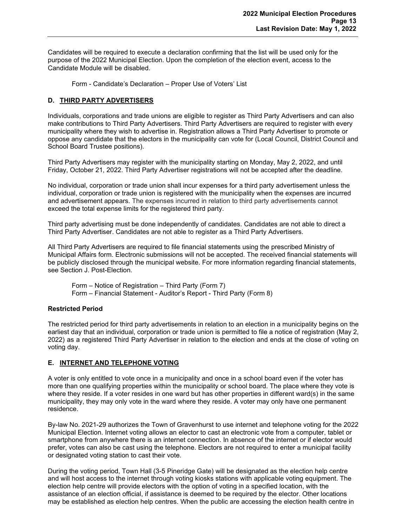Candidates will be required to execute a declaration confirming that the list will be used only for the purpose of the 2022 Municipal Election. Upon the completion of the election event, access to the Candidate Module will be disabled.

Form - Candidate's Declaration – Proper Use of Voters' List

## <span id="page-13-0"></span>**D. THIRD PARTY ADVERTISERS**

Individuals, corporations and trade unions are eligible to register as Third Party Advertisers and can also make contributions to Third Party Advertisers. Third Party Advertisers are required to register with every municipality where they wish to advertise in. Registration allows a Third Party Advertiser to promote or oppose any candidate that the electors in the municipality can vote for (Local Council, District Council and School Board Trustee positions).

Third Party Advertisers may register with the municipality starting on Monday, May 2, 2022, and until Friday, October 21, 2022. Third Party Advertiser registrations will not be accepted after the deadline.

No individual, corporation or trade union shall incur expenses for a third party advertisement unless the individual, corporation or trade union is registered with the municipality when the expenses are incurred and advertisement appears. The expenses incurred in relation to third party advertisements cannot exceed the total expense limits for the registered third party.

Third party advertising must be done independently of candidates. Candidates are not able to direct a Third Party Advertiser. Candidates are not able to register as a Third Party Advertisers.

All Third Party Advertisers are required to file financial statements using the prescribed Ministry of Municipal Affairs form. Electronic submissions will not be accepted. The received financial statements will be publicly disclosed through the municipal website. For more information regarding financial statements, see Section J. Post-Election.

Form – Notice of Registration – Third Party (Form 7) Form – Financial Statement - Auditor's Report - Third Party (Form 8)

#### <span id="page-13-1"></span>**Restricted Period**

The restricted period for third party advertisements in relation to an election in a municipality begins on the earliest day that an individual, corporation or trade union is permitted to file a notice of registration (May 2, 2022) as a registered Third Party Advertiser in relation to the election and ends at the close of voting on voting day.

## <span id="page-13-2"></span>**E. INTERNET AND TELEPHONE VOTING**

A voter is only entitled to vote once in a municipality and once in a school board even if the voter has more than one qualifying properties within the municipality or school board. The place where they vote is where they reside. If a voter resides in one ward but has other properties in different ward(s) in the same municipality, they may only vote in the ward where they reside. A voter may only have one permanent residence.

By-law No. 2021-29 authorizes the Town of Gravenhurst to use internet and telephone voting for the 2022 Municipal Election. Internet voting allows an elector to cast an electronic vote from a computer, tablet or smartphone from anywhere there is an internet connection. In absence of the internet or if elector would prefer, votes can also be cast using the telephone. Electors are not required to enter a municipal facility or designated voting station to cast their vote.

During the voting period, Town Hall (3-5 Pineridge Gate) will be designated as the election help centre and will host access to the internet through voting kiosks stations with applicable voting equipment. The election help centre will provide electors with the option of voting in a specified location, with the assistance of an election official, if assistance is deemed to be required by the elector. Other locations may be established as election help centres. When the public are accessing the election health centre in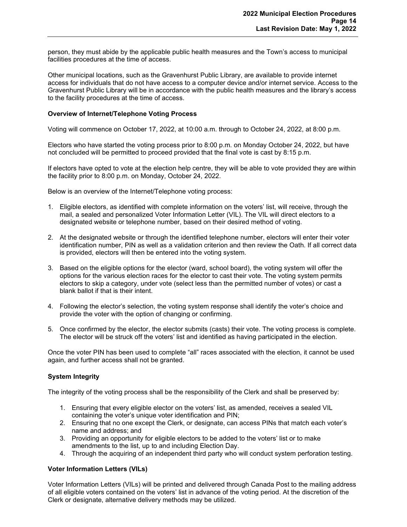person, they must abide by the applicable public health measures and the Town's access to municipal facilities procedures at the time of access.

Other municipal locations, such as the Gravenhurst Public Library, are available to provide internet access for individuals that do not have access to a computer device and/or internet service. Access to the Gravenhurst Public Library will be in accordance with the public health measures and the library's access to the facility procedures at the time of access.

#### <span id="page-14-0"></span>**Overview of Internet/Telephone Voting Process**

Voting will commence on October 17, 2022, at 10:00 a.m. through to October 24, 2022, at 8:00 p.m.

Electors who have started the voting process prior to 8:00 p.m. on Monday October 24, 2022, but have not concluded will be permitted to proceed provided that the final vote is cast by 8:15 p.m.

If electors have opted to vote at the election help centre, they will be able to vote provided they are within the facility prior to 8:00 p.m. on Monday, October 24, 2022.

Below is an overview of the Internet/Telephone voting process:

- 1. Eligible electors, as identified with complete information on the voters' list, will receive, through the mail, a sealed and personalized Voter Information Letter (VIL). The VIL will direct electors to a designated website or telephone number, based on their desired method of voting.
- 2. At the designated website or through the identified telephone number, electors will enter their voter identification number, PIN as well as a validation criterion and then review the Oath. If all correct data is provided, electors will then be entered into the voting system.
- 3. Based on the eligible options for the elector (ward, school board), the voting system will offer the options for the various election races for the elector to cast their vote. The voting system permits electors to skip a category, under vote (select less than the permitted number of votes) or cast a blank ballot if that is their intent.
- 4. Following the elector's selection, the voting system response shall identify the voter's choice and provide the voter with the option of changing or confirming.
- 5. Once confirmed by the elector, the elector submits (casts) their vote. The voting process is complete. The elector will be struck off the voters' list and identified as having participated in the election.

Once the voter PIN has been used to complete "all" races associated with the election, it cannot be used again, and further access shall not be granted.

## <span id="page-14-1"></span>**System Integrity**

The integrity of the voting process shall be the responsibility of the Clerk and shall be preserved by:

- 1. Ensuring that every eligible elector on the voters' list, as amended, receives a sealed VIL containing the voter's unique voter identification and PIN;
- 2. Ensuring that no one except the Clerk, or designate, can access PINs that match each voter's name and address; and
- 3. Providing an opportunity for eligible electors to be added to the voters' list or to make amendments to the list, up to and including Election Day.
- 4. Through the acquiring of an independent third party who will conduct system perforation testing.

## <span id="page-14-2"></span>**Voter Information Letters (VILs)**

Voter Information Letters (VILs) will be printed and delivered through Canada Post to the mailing address of all eligible voters contained on the voters' list in advance of the voting period. At the discretion of the Clerk or designate, alternative delivery methods may be utilized.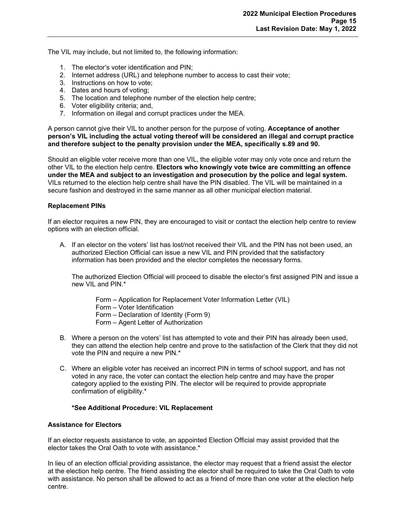The VIL may include, but not limited to, the following information:

- 1. The elector's voter identification and PIN;
- 2. Internet address (URL) and telephone number to access to cast their vote;
- 3. Instructions on how to vote;
- 4. Dates and hours of voting;
- 5. The location and telephone number of the election help centre;
- 6. Voter eligibility criteria; and,
- 7. Information on illegal and corrupt practices under the MEA.

A person cannot give their VIL to another person for the purpose of voting. **Acceptance of another person's VIL including the actual voting thereof will be considered an illegal and corrupt practice and therefore subject to the penalty provision under the MEA, specifically s.89 and 90.**

Should an eligible voter receive more than one VIL, the eligible voter may only vote once and return the other VIL to the election help centre. **Electors who knowingly vote twice are committing an offence under the MEA and subject to an investigation and prosecution by the police and legal system.** VILs returned to the election help centre shall have the PIN disabled. The VIL will be maintained in a secure fashion and destroyed in the same manner as all other municipal election material.

#### <span id="page-15-0"></span>**Replacement PINs**

If an elector requires a new PIN, they are encouraged to visit or contact the election help centre to review options with an election official.

A. If an elector on the voters' list has lost/not received their VIL and the PIN has not been used, an authorized Election Official can issue a new VIL and PIN provided that the satisfactory information has been provided and the elector completes the necessary forms.

The authorized Election Official will proceed to disable the elector's first assigned PIN and issue a new VIL and PIN.\*

Form – Application for Replacement Voter Information Letter (VIL)

Form – Voter Identification

Form – Declaration of Identity (Form 9)

- Form Agent Letter of Authorization
- B. Where a person on the voters' list has attempted to vote and their PIN has already been used, they can attend the election help centre and prove to the satisfaction of the Clerk that they did not vote the PIN and require a new PIN.\*
- C. Where an eligible voter has received an incorrect PIN in terms of school support, and has not voted in any race, the voter can contact the election help centre and may have the proper category applied to the existing PIN. The elector will be required to provide appropriate confirmation of eligibility.\*

#### **\*See Additional Procedure: VIL Replacement**

## <span id="page-15-1"></span>**Assistance for Electors**

If an elector requests assistance to vote, an appointed Election Official may assist provided that the elector takes the Oral Oath to vote with assistance.\*

In lieu of an election official providing assistance, the elector may request that a friend assist the elector at the election help centre. The friend assisting the elector shall be required to take the Oral Oath to vote with assistance. No person shall be allowed to act as a friend of more than one voter at the election help centre.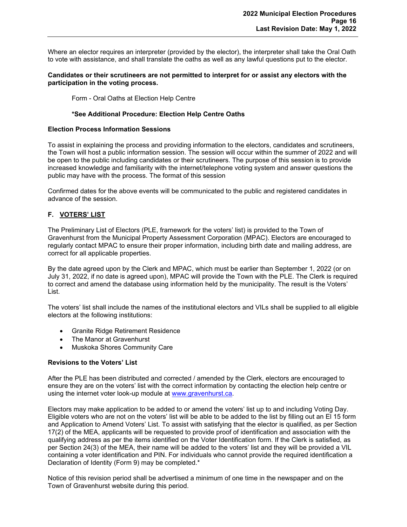Where an elector requires an interpreter (provided by the elector), the interpreter shall take the Oral Oath to vote with assistance, and shall translate the oaths as well as any lawful questions put to the elector.

#### **Candidates or their scrutineers are not permitted to interpret for or assist any electors with the participation in the voting process.**

Form - Oral Oaths at Election Help Centre

## **\*See Additional Procedure: Election Help Centre Oaths**

#### <span id="page-16-0"></span>**Election Process Information Sessions**

To assist in explaining the process and providing information to the electors, candidates and scrutineers, the Town will host a public information session. The session will occur within the summer of 2022 and will be open to the public including candidates or their scrutineers. The purpose of this session is to provide increased knowledge and familiarity with the internet/telephone voting system and answer questions the public may have with the process. The format of this session

Confirmed dates for the above events will be communicated to the public and registered candidates in advance of the session.

## <span id="page-16-1"></span>**F. VOTERS' LIST**

The Preliminary List of Electors (PLE, framework for the voters' list) is provided to the Town of Gravenhurst from the Municipal Property Assessment Corporation (MPAC). Electors are encouraged to regularly contact MPAC to ensure their proper information, including birth date and mailing address, are correct for all applicable properties.

By the date agreed upon by the Clerk and MPAC, which must be earlier than September 1, 2022 (or on July 31, 2022, if no date is agreed upon), MPAC will provide the Town with the PLE. The Clerk is required to correct and amend the database using information held by the municipality. The result is the Voters' List.

The voters' list shall include the names of the institutional electors and VILs shall be supplied to all eligible electors at the following institutions:

- Granite Ridge Retirement Residence
- The Manor at Gravenhurst
- Muskoka Shores Community Care

## <span id="page-16-2"></span>**Revisions to the Voters' List**

After the PLE has been distributed and corrected / amended by the Clerk, electors are encouraged to ensure they are on the voters' list with the correct information by contacting the election help centre or using the internet voter look-up module at [www.gravenhurst.ca.](http://www.gravenhurst.ca/)

Electors may make application to be added to or amend the voters' list up to and including Voting Day. Eligible voters who are not on the voters' list will be able to be added to the list by filling out an El 15 form and Application to Amend Voters' List. To assist with satisfying that the elector is qualified, as per Section 17(2) of the MEA, applicants will be requested to provide proof of identification and association with the qualifying address as per the items identified on the Voter Identification form. If the Clerk is satisfied, as per Section 24(3) of the MEA, their name will be added to the voters' list and they will be provided a VIL containing a voter identification and PIN. For individuals who cannot provide the required identification a Declaration of Identity (Form 9) may be completed.\*

Notice of this revision period shall be advertised a minimum of one time in the newspaper and on the Town of Gravenhurst website during this period.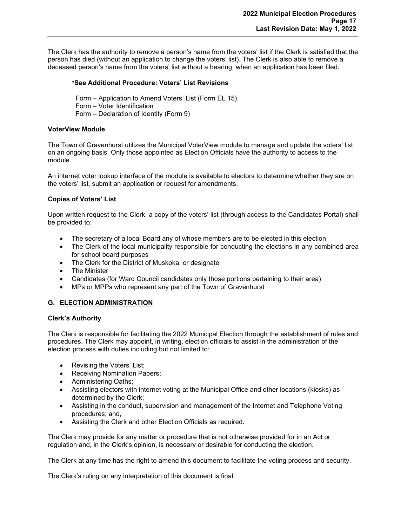The Clerk has the authority to remove a person's name from the voters' list if the Clerk is satisfied that the person has died (without an application to change the voters' list). The Clerk is also able to remove a deceased person's name from the voters' list without a hearing, when an application has been filed.

## **\*See Additional Procedure: Voters' List Revisions**

Form – Application to Amend Voters' List (Form EL 15) Form – Voter Identification Form – Declaration of Identity (Form 9)

## <span id="page-17-0"></span>**VoterView Module**

The Town of Gravenhurst utilizes the Municipal VoterView module to manage and update the voters' list on an ongoing basis. Only those appointed as Election Officials have the authority to access to the module.

An internet voter lookup interface of the module is available to electors to determine whether they are on the voters' list, submit an application or request for amendments.

## <span id="page-17-1"></span>**Copies of Voters' List**

Upon written request to the Clerk, a copy of the voters' list (through access to the Candidates Portal) shall be provided to:

- The secretary of a local Board any of whose members are to be elected in this election
- The Clerk of the local municipality responsible for conducting the elections in any combined area for school board purposes
- The Clerk for the District of Muskoka, or designate
- The Minister
- Candidates (for Ward Council candidates only those portions pertaining to their area)
- MPs or MPPs who represent any part of the Town of Gravenhurst

## <span id="page-17-2"></span>**G. ELECTION ADMINISTRATION**

#### <span id="page-17-3"></span>**Clerk's Authority**

The Clerk is responsible for facilitating the 2022 Municipal Election through the establishment of rules and procedures. The Clerk may appoint, in writing, election officials to assist in the administration of the election process with duties including but not limited to:

- Revising the Voters' List;
- Receiving Nomination Papers;
- Administering Oaths;
- Assisting electors with internet voting at the Municipal Office and other locations (kiosks) as determined by the Clerk;
- Assisting in the conduct, supervision and management of the Internet and Telephone Voting procedures; and,
- Assisting the Clerk and other Election Officials as required.

The Clerk may provide for any matter or procedure that is not otherwise provided for in an Act or regulation and, in the Clerk's opinion, is necessary or desirable for conducting the election.

The Clerk at any time has the right to amend this document to facilitate the voting process and security.

The Clerk's ruling on any interpretation of this document is final.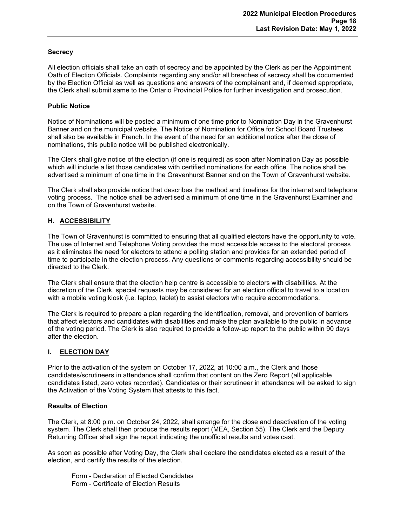## <span id="page-18-0"></span>**Secrecy**

All election officials shall take an oath of secrecy and be appointed by the Clerk as per the Appointment Oath of Election Officials. Complaints regarding any and/or all breaches of secrecy shall be documented by the Election Official as well as questions and answers of the complainant and, if deemed appropriate, the Clerk shall submit same to the Ontario Provincial Police for further investigation and prosecution.

## <span id="page-18-1"></span>**Public Notice**

Notice of Nominations will be posted a minimum of one time prior to Nomination Day in the Gravenhurst Banner and on the municipal website. The Notice of Nomination for Office for School Board Trustees shall also be available in French. In the event of the need for an additional notice after the close of nominations, this public notice will be published electronically.

The Clerk shall give notice of the election (if one is required) as soon after Nomination Day as possible which will include a list those candidates with certified nominations for each office. The notice shall be advertised a minimum of one time in the Gravenhurst Banner and on the Town of Gravenhurst website.

The Clerk shall also provide notice that describes the method and timelines for the internet and telephone voting process. The notice shall be advertised a minimum of one time in the Gravenhurst Examiner and on the Town of Gravenhurst website.

## <span id="page-18-2"></span>**H. ACCESSIBILITY**

The Town of Gravenhurst is committed to ensuring that all qualified electors have the opportunity to vote. The use of Internet and Telephone Voting provides the most accessible access to the electoral process as it eliminates the need for electors to attend a polling station and provides for an extended period of time to participate in the election process. Any questions or comments regarding accessibility should be directed to the Clerk.

The Clerk shall ensure that the election help centre is accessible to electors with disabilities. At the discretion of the Clerk, special requests may be considered for an election official to travel to a location with a mobile voting kiosk (i.e. laptop, tablet) to assist electors who require accommodations.

The Clerk is required to prepare a plan regarding the identification, removal, and prevention of barriers that affect electors and candidates with disabilities and make the plan available to the public in advance of the voting period. The Clerk is also required to provide a follow-up report to the public within 90 days after the election.

## <span id="page-18-3"></span>**I. ELECTION DAY**

Prior to the activation of the system on October 17, 2022, at 10:00 a.m., the Clerk and those candidates/scrutineers in attendance shall confirm that content on the Zero Report (all applicable candidates listed, zero votes recorded). Candidates or their scrutineer in attendance will be asked to sign the Activation of the Voting System that attests to this fact.

#### <span id="page-18-4"></span>**Results of Election**

The Clerk, at 8:00 p.m. on October 24, 2022, shall arrange for the close and deactivation of the voting system. The Clerk shall then produce the results report (MEA, Section 55). The Clerk and the Deputy Returning Officer shall sign the report indicating the unofficial results and votes cast.

As soon as possible after Voting Day, the Clerk shall declare the candidates elected as a result of the election, and certify the results of the election.

Form - Declaration of Elected Candidates Form - Certificate of Election Results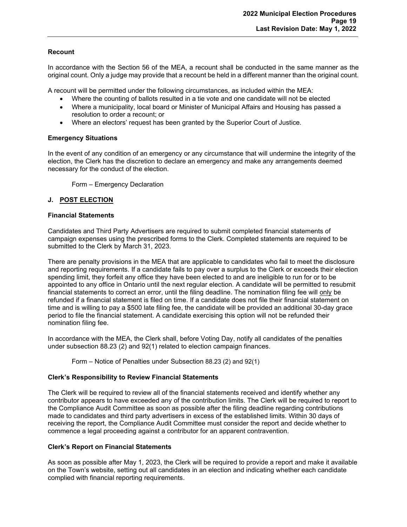## <span id="page-19-0"></span>**Recount**

In accordance with the Section 56 of the MEA, a recount shall be conducted in the same manner as the original count. Only a judge may provide that a recount be held in a different manner than the original count.

A recount will be permitted under the following circumstances, as included within the MEA:

- Where the counting of ballots resulted in a tie vote and one candidate will not be elected
- Where a municipality, local board or Minister of Municipal Affairs and Housing has passed a resolution to order a recount; or
- Where an electors' request has been granted by the Superior Court of Justice.

## <span id="page-19-1"></span>**Emergency Situations**

In the event of any condition of an emergency or any circumstance that will undermine the integrity of the election, the Clerk has the discretion to declare an emergency and make any arrangements deemed necessary for the conduct of the election.

Form – Emergency Declaration

## <span id="page-19-2"></span>**J. POST ELECTION**

#### <span id="page-19-3"></span>**Financial Statements**

Candidates and Third Party Advertisers are required to submit completed financial statements of campaign expenses using the prescribed forms to the Clerk. Completed statements are required to be submitted to the Clerk by March 31, 2023.

There are penalty provisions in the MEA that are applicable to candidates who fail to meet the disclosure and reporting requirements. If a candidate fails to pay over a surplus to the Clerk or exceeds their election spending limit, they forfeit any office they have been elected to and are ineligible to run for or to be appointed to any office in Ontario until the next regular election. A candidate will be permitted to resubmit financial statements to correct an error, until the filing deadline. The nomination filing fee will only be refunded if a financial statement is filed on time. If a candidate does not file their financial statement on time and is willing to pay a \$500 late filing fee, the candidate will be provided an additional 30-day grace period to file the financial statement. A candidate exercising this option will not be refunded their nomination filing fee.

In accordance with the MEA, the Clerk shall, before Voting Day, notify all candidates of the penalties under subsection 88.23 (2) and 92(1) related to election campaign finances.

Form – Notice of Penalties under Subsection 88.23 (2) and 92(1)

## <span id="page-19-4"></span>**Clerk's Responsibility to Review Financial Statements**

The Clerk will be required to review all of the financial statements received and identify whether any contributor appears to have exceeded any of the contribution limits. The Clerk will be required to report to the Compliance Audit Committee as soon as possible after the filing deadline regarding contributions made to candidates and third party advertisers in excess of the established limits. Within 30 days of receiving the report, the Compliance Audit Committee must consider the report and decide whether to commence a legal proceeding against a contributor for an apparent contravention.

#### <span id="page-19-5"></span>**Clerk's Report on Financial Statements**

As soon as possible after May 1, 2023, the Clerk will be required to provide a report and make it available on the Town's website, setting out all candidates in an election and indicating whether each candidate complied with financial reporting requirements.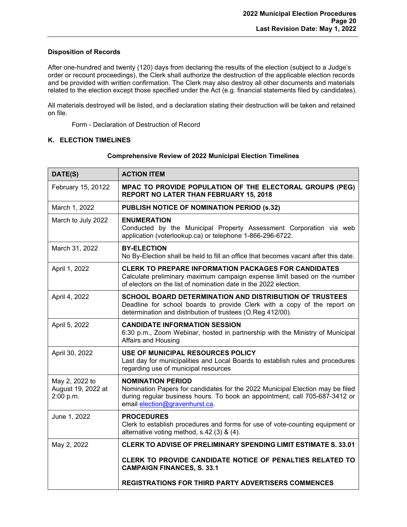## <span id="page-20-0"></span>**Disposition of Records**

After one-hundred and twenty (120) days from declaring the results of the election (subject to a Judge's order or recount proceedings), the Clerk shall authorize the destruction of the applicable election records and be provided with written confirmation. The Clerk may also destroy all other documents and materials related to the election except those specified under the Act (e.g. financial statements filed by candidates).

All materials destroyed will be listed, and a declaration stating their destruction will be taken and retained on file.

Form - Declaration of Destruction of Record

## <span id="page-20-2"></span><span id="page-20-1"></span>**K. ELECTION TIMELINES**

| DATE(S)                                           | <b>ACTION ITEM</b>                                                                                                                                                                                                         |
|---------------------------------------------------|----------------------------------------------------------------------------------------------------------------------------------------------------------------------------------------------------------------------------|
| February 15, 20122                                | MPAC TO PROVIDE POPULATION OF THE ELECTORAL GROUPS (PEG)<br><b>REPORT NO LATER THAN FEBRUARY 15, 2018</b>                                                                                                                  |
| March 1, 2022                                     | <b>PUBLISH NOTICE OF NOMINATION PERIOD (s.32)</b>                                                                                                                                                                          |
| March to July 2022                                | <b>ENUMERATION</b><br>Conducted by the Municipal Property Assessment Corporation via web<br>application (voterlookup.ca) or telephone 1-866-296-6722.                                                                      |
| March 31, 2022                                    | <b>BY-ELECTION</b><br>No By-Election shall be held to fill an office that becomes vacant after this date.                                                                                                                  |
| April 1, 2022                                     | <b>CLERK TO PREPARE INFORMATION PACKAGES FOR CANDIDATES</b><br>Calculate preliminary maximum campaign expense limit based on the number<br>of electors on the list of nomination date in the 2022 election.                |
| April 4, 2022                                     | SCHOOL BOARD DETERMINATION AND DISTRIBUTION OF TRUSTEES<br>Deadline for school boards to provide Clerk with a copy of the report on<br>determination and distribution of trustees (O.Reg 412/00).                          |
| April 5, 2022                                     | <b>CANDIDATE INFORMATION SESSION</b><br>6:30 p.m., Zoom Webinar, hosted in partnership with the Ministry of Municipal<br>Affairs and Housing                                                                               |
| April 30, 2022                                    | USE OF MUNICIPAL RESOURCES POLICY<br>Last day for municipalities and Local Boards to establish rules and procedures<br>regarding use of municipal resources                                                                |
| May 2, 2022 to<br>August 19, 2022 at<br>2:00 p.m. | <b>NOMINATION PERIOD</b><br>Nomination Papers for candidates for the 2022 Municipal Election may be filed<br>during regular business hours. To book an appointment, call 705-687-3412 or<br>email election@gravenhurst.ca. |
| June 1, 2022                                      | <b>PROCEDURES</b><br>Clerk to establish procedures and forms for use of vote-counting equipment or<br>alternative voting method, s.42 (3) & (4).                                                                           |
| May 2, 2022                                       | <b>CLERK TO ADVISE OF PRELIMINARY SPENDING LIMIT ESTIMATE S. 33.01</b>                                                                                                                                                     |
|                                                   | CLERK TO PROVIDE CANDIDATE NOTICE OF PENALTIES RELATED TO<br><b>CAMPAIGN FINANCES, S. 33.1</b>                                                                                                                             |
|                                                   | <b>REGISTRATIONS FOR THIRD PARTY ADVERTISERS COMMENCES</b>                                                                                                                                                                 |

#### **Comprehensive Review of 2022 Municipal Election Timelines**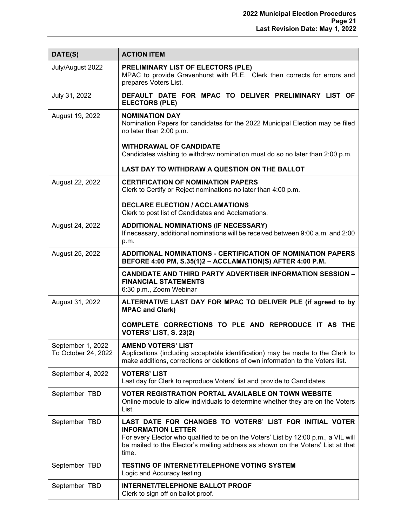| DATE(S)                                  | <b>ACTION ITEM</b>                                                                                                                                                                                                                                                      |
|------------------------------------------|-------------------------------------------------------------------------------------------------------------------------------------------------------------------------------------------------------------------------------------------------------------------------|
| July/August 2022                         | PRELIMINARY LIST OF ELECTORS (PLE)<br>MPAC to provide Gravenhurst with PLE. Clerk then corrects for errors and<br>prepares Voters List.                                                                                                                                 |
| July 31, 2022                            | DEFAULT DATE FOR MPAC TO DELIVER PRELIMINARY LIST OF<br><b>ELECTORS (PLE)</b>                                                                                                                                                                                           |
| August 19, 2022                          | <b>NOMINATION DAY</b><br>Nomination Papers for candidates for the 2022 Municipal Election may be filed<br>no later than 2:00 p.m.                                                                                                                                       |
|                                          | <b>WITHDRAWAL OF CANDIDATE</b><br>Candidates wishing to withdraw nomination must do so no later than 2:00 p.m.                                                                                                                                                          |
|                                          | LAST DAY TO WITHDRAW A QUESTION ON THE BALLOT                                                                                                                                                                                                                           |
| August 22, 2022                          | <b>CERTIFICATION OF NOMINATION PAPERS</b><br>Clerk to Certify or Reject nominations no later than 4:00 p.m.                                                                                                                                                             |
|                                          | <b>DECLARE ELECTION / ACCLAMATIONS</b><br>Clerk to post list of Candidates and Acclamations.                                                                                                                                                                            |
| August 24, 2022                          | <b>ADDITIONAL NOMINATIONS (IF NECESSARY)</b><br>If necessary, additional nominations will be received between 9:00 a.m. and 2:00<br>p.m.                                                                                                                                |
| August 25, 2022                          | <b>ADDITIONAL NOMINATIONS - CERTIFICATION OF NOMINATION PAPERS</b><br>BEFORE 4:00 PM, S.35(1)2 - ACCLAMATION(S) AFTER 4:00 P.M.                                                                                                                                         |
|                                          | <b>CANDIDATE AND THIRD PARTY ADVERTISER INFORMATION SESSION -</b><br><b>FINANCIAL STATEMENTS</b><br>6:30 p.m., Zoom Webinar                                                                                                                                             |
| August 31, 2022                          | ALTERNATIVE LAST DAY FOR MPAC TO DELIVER PLE (if agreed to by<br><b>MPAC and Clerk)</b>                                                                                                                                                                                 |
|                                          | COMPLETE CORRECTIONS TO PLE AND REPRODUCE IT AS THE<br>VOTERS' LIST, S. 23(2)                                                                                                                                                                                           |
| September 1, 2022<br>To October 24, 2022 | <b>AMEND VOTERS' LIST</b><br>Applications (including acceptable identification) may be made to the Clerk to<br>make additions, corrections or deletions of own information to the Voters list.                                                                          |
| September 4, 2022                        | <b>VOTERS' LIST</b><br>Last day for Clerk to reproduce Voters' list and provide to Candidates.                                                                                                                                                                          |
| September TBD                            | <b>VOTER REGISTRATION PORTAL AVAILABLE ON TOWN WEBSITE</b><br>Online module to allow individuals to determine whether they are on the Voters<br>List.                                                                                                                   |
| September TBD                            | LAST DATE FOR CHANGES TO VOTERS' LIST FOR INITIAL VOTER<br><b>INFORMATION LETTER</b><br>For every Elector who qualified to be on the Voters' List by 12:00 p.m., a VIL will<br>be mailed to the Elector's mailing address as shown on the Voters' List at that<br>time. |
| September TBD                            | <b>TESTING OF INTERNET/TELEPHONE VOTING SYSTEM</b><br>Logic and Accuracy testing.                                                                                                                                                                                       |
| September TBD                            | <b>INTERNET/TELEPHONE BALLOT PROOF</b><br>Clerk to sign off on ballot proof.                                                                                                                                                                                            |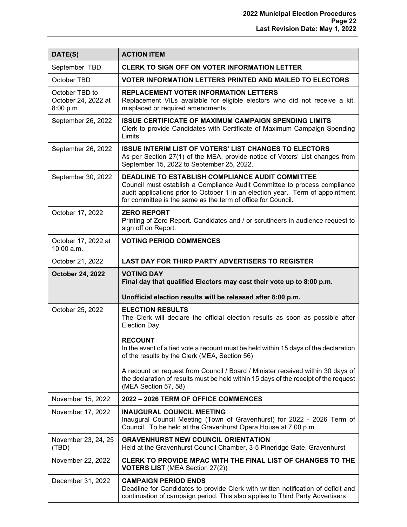| DATE(S)                                            | <b>ACTION ITEM</b>                                                                                                                                                                                                                                                                     |
|----------------------------------------------------|----------------------------------------------------------------------------------------------------------------------------------------------------------------------------------------------------------------------------------------------------------------------------------------|
| September TBD                                      | <b>CLERK TO SIGN OFF ON VOTER INFORMATION LETTER</b>                                                                                                                                                                                                                                   |
| October TBD                                        | <b>VOTER INFORMATION LETTERS PRINTED AND MAILED TO ELECTORS</b>                                                                                                                                                                                                                        |
| October TBD to<br>October 24, 2022 at<br>8:00 p.m. | REPLACEMENT VOTER INFORMATION LETTERS<br>Replacement VILs available for eligible electors who did not receive a kit,<br>misplaced or required amendments.                                                                                                                              |
| September 26, 2022                                 | <b>ISSUE CERTIFICATE OF MAXIMUM CAMPAIGN SPENDING LIMITS</b><br>Clerk to provide Candidates with Certificate of Maximum Campaign Spending<br>Limits.                                                                                                                                   |
| September 26, 2022                                 | <b>ISSUE INTERIM LIST OF VOTERS' LIST CHANGES TO ELECTORS</b><br>As per Section 27(1) of the MEA, provide notice of Voters' List changes from<br>September 15, 2022 to September 25, 2022.                                                                                             |
| September 30, 2022                                 | <b>DEADLINE TO ESTABLISH COMPLIANCE AUDIT COMMITTEE</b><br>Council must establish a Compliance Audit Committee to process compliance<br>audit applications prior to October 1 in an election year. Term of appointment<br>for committee is the same as the term of office for Council. |
| October 17, 2022                                   | <b>ZERO REPORT</b><br>Printing of Zero Report. Candidates and / or scrutineers in audience request to<br>sign off on Report.                                                                                                                                                           |
| October 17, 2022 at<br>10:00 a.m.                  | <b>VOTING PERIOD COMMENCES</b>                                                                                                                                                                                                                                                         |
| October 21, 2022                                   | <b>LAST DAY FOR THIRD PARTY ADVERTISERS TO REGISTER</b>                                                                                                                                                                                                                                |
| <b>October 24, 2022</b>                            | <b>VOTING DAY</b><br>Final day that qualified Electors may cast their vote up to 8:00 p.m.                                                                                                                                                                                             |
|                                                    | Unofficial election results will be released after 8:00 p.m.                                                                                                                                                                                                                           |
| October 25, 2022                                   | <b>ELECTION RESULTS</b><br>The Clerk will declare the official election results as soon as possible after<br>Election Day.                                                                                                                                                             |
|                                                    | <b>RECOUNT</b><br>In the event of a tied vote a recount must be held within 15 days of the declaration<br>of the results by the Clerk (MEA, Section 56)                                                                                                                                |
|                                                    | A recount on request from Council / Board / Minister received within 30 days of<br>the declaration of results must be held within 15 days of the receipt of the request<br>(MEA Section 57, 58)                                                                                        |
| November 15, 2022                                  | 2022 - 2026 TERM OF OFFICE COMMENCES                                                                                                                                                                                                                                                   |
| November 17, 2022                                  | <b>INAUGURAL COUNCIL MEETING</b><br>Inaugural Council Meeting (Town of Gravenhurst) for 2022 - 2026 Term of<br>Council. To be held at the Gravenhurst Opera House at 7:00 p.m.                                                                                                         |
| November 23, 24, 25<br>(TBD)                       | <b>GRAVENHURST NEW COUNCIL ORIENTATION</b><br>Held at the Gravenhurst Council Chamber, 3-5 Pineridge Gate, Gravenhurst                                                                                                                                                                 |
| November 22, 2022                                  | CLERK TO PROVIDE MPAC WITH THE FINAL LIST OF CHANGES TO THE<br><b>VOTERS LIST</b> (MEA Section 27(2))                                                                                                                                                                                  |
| December 31, 2022                                  | <b>CAMPAIGN PERIOD ENDS</b><br>Deadline for Candidates to provide Clerk with written notification of deficit and<br>continuation of campaign period. This also applies to Third Party Advertisers                                                                                      |